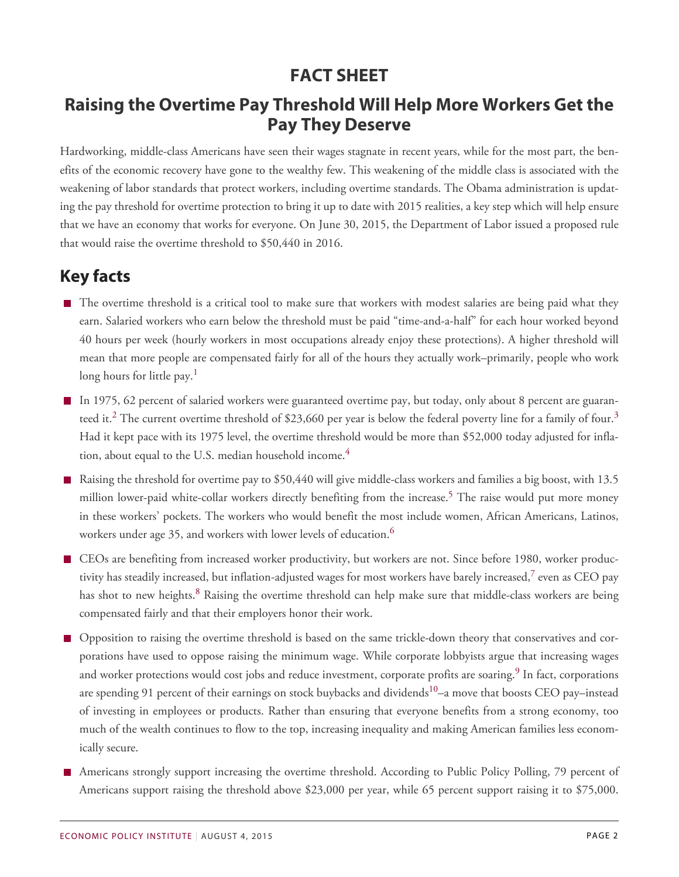## **FACT SHEET**

## **Raising the Overtime Pay Threshold Will Help More Workers Get the Pay They Deserve**

Hardworking, middle-class Americans have seen their wages stagnate in recent years, while for the most part, the benefits of the economic recovery have gone to the wealthy few. This weakening of the middle class is associated with the weakening of labor standards that protect workers, including overtime standards. The Obama administration is updating the pay threshold for overtime protection to bring it up to date with 2015 realities, a key step which will help ensure that we have an economy that works for everyone. On June 30, 2015, the Department of Labor issued a proposed rule that would raise the overtime threshold to \$50,440 in 2016.

## **Key facts**

- The overtime threshold is a critical tool to make sure that workers with modest salaries are being paid what they earn. Salaried workers who earn below the threshold must be paid "time-and-a-half" for each hour worked beyond 40 hours per week (hourly workers in most occupations already enjoy these protections). A higher threshold will mean that more people are compensated fairly for all of the hours they actually work–primarily, people who work long hours for little pay.<sup>[1](#page--1-0)</sup>
- In 1975, 62 percent of salaried workers were guaranteed overtime pay, but today, only about 8 percent are guaran-teed it.<sup>[2](#page--1-1)</sup> The current overtime threshold of \$2[3](#page--1-2),660 per year is below the federal poverty line for a family of four.<sup>3</sup> Had it kept pace with its 1975 level, the overtime threshold would be more than \$52,000 today adjusted for infla-tion, about equal to the U.S. median household income.<sup>[4](#page--1-3)</sup>
- Raising the threshold for overtime pay to \$50,440 will give middle-class workers and families a big boost, with 13.5 million lower-paid white-collar workers directly benefiting from the increase.<sup>[5](#page--1-4)</sup> The raise would put more money in these workers' pockets. The workers who would benefit the most include women, African Americans, Latinos, workers under age 35, and workers with lower levels of education.<sup>[6](#page--1-5)</sup>
- CEOs are benefiting from increased worker productivity, but workers are not. Since before 1980, worker productivity has steadily increased, but inflation-adjusted wages for most workers have barely increased, $^7$  $^7$  even as CEO pay has shot to new heights.<sup>[8](#page--1-7)</sup> Raising the overtime threshold can help make sure that middle-class workers are being compensated fairly and that their employers honor their work.
- Opposition to raising the overtime threshold is based on the same trickle-down theory that conservatives and corporations have used to oppose raising the minimum wage. While corporate lobbyists argue that increasing wages and worker protections would cost jobs and reduce investment, corporate profits are soaring.<sup>[9](#page--1-8)</sup> In fact, corporations are spending 91 percent of their earnings on stock buybacks and dividends<sup>[10](#page--1-9)</sup>–a move that boosts CEO pay–instead of investing in employees or products. Rather than ensuring that everyone benefits from a strong economy, too much of the wealth continues to flow to the top, increasing inequality and making American families less economically secure.
- Americans strongly support increasing the overtime threshold. According to Public Policy Polling, 79 percent of Americans support raising the threshold above \$23,000 per year, while 65 percent support raising it to \$75,000.